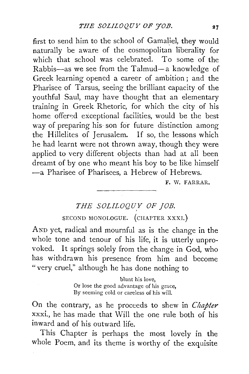first to send him to the school of Gamaliel, they would naturally be aware of the cosmopolitan liberality for which that school was celebrated. To some of the Rabbis-as we see from the Talmud-a knowledge of Greek learning opened a career of ambition; and the Pharisee of Tarsus, seeing the brilliant capacity of the youthful Saul, may have thought that an elementary training in Greek Rhetoric, for which the city of his home offered exceptional facilities, would be the best way of preparing his son for future distinction among the Hillelites of Jerusalem. If so, the lessons which he had learnt were not thrown away, though they were applied to very different objects than had at all been dreamt of by one who meant his boy to be like himself -a Pharisee of Pharisees, a Hebrew of Hebrews.

F. W. FARRAR.

# THE SOLILOQUY OF JOB. SECOND MONOLOGUE. (CHAPTER XXXI.)

AND yet, radical and mournful as is the change in the whole tone and tenour of his life, it is utterly unprovoked. It springs solely from the change in God, who has withdrawn his presence from him and become " very cruel," although he has done nothing to

> blunt his love, Or lose the good advantage of his grace, By seeming cold or careless of his will.

On the contrary, as he proceeds to shew in *Chapter* xxxi., he has made that Will the one rule both of his inward and of his outward life.

This Chapter is perhaps the most lovely in the whole Poem, and its theme is worthy of the exquisite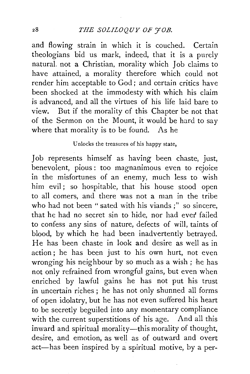and flowing strain in which it is couched. Certain theologians bid us mark, indeed, that it is a purely natural. not a Christian, morality which Job claims to have attained, a morality therefore which could not render him acceptable to God; and certain critics have been shocked at the immodesty with which his claim is advanced, and all the virtues of his life laid bare to view. But if the morality of this Chapter be not that of the Sermon on the Mount, it would be hard to say where that morality is to be found. As he

#### Unlocks the treasures of his happy state,

Job represents himself as having been chaste, just, benevolent, pious : too magnanimous even to rejoice in the misfortunes of an enemy, much less to wish him evil; so hospitable, that his house stood open to all comers, and there was not a man in the tribe who had not been "sated with his viands;" so sincere, that he had no secret sin to hide, nor had ever failed to confess any sins of nature, defects of will, taints of blood, by which he had been inadvertently betrayed. He has been chaste in look and desire as well as in action ; he has been just to his own hurt, not even wronging his neighbour by so much as a wish; he has not only refrained from wrongful gains, but even when enriched by lawful gains he has not put his trust in uncertain riches ; he has not only shunned all forms of open idolatry, but he has not even suffered his heart to be secretly beguiled into any momentary compliance with the current superstitions of his age. And all this inward and spiritual morality-this morality of thought, desire, and emotion, as well as of outward and overt act—has been inspired by a spiritual motive, by a per-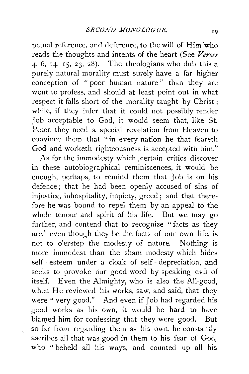petual reference, and deference, to the will of Him who reads the thoughts and intents of the heart (See *Verses*  4, 6, 14, 15, 23, 28). The theologians who dub this a purely natural morality must surely have a far higher conception of " poor human nature " than they are wont to profess, and should at least point out in what respect it falls short of the morality taught by Christ ; while, if they infer that it could not possibly render Job acceptable to God, it would seem that, like St. Peter, they need a special revelation from Heaven to convince them that "in every nation he that feareth God and worketh righteousness is accepted with him."

As for the immodesty which, certain critics discover in these autobiographical reminiscences, it would be enough, perhaps, to remind them that Job is on his defence; that he had been openly accused of sins of injustice, inhospitality, impiety, greed; and that therefore he was bound to repel them by an appeal to the whole tenour and spirit of his life. But we may go further, and contend that to recognize " facts as they are," even though they be the facts of our own life, is not to o'erstep the modesty of nature. Nothing is more immodest than the sham modesty which hides self- esteem under a cloak of self- depreciation, and seeks to provoke our good word by speaking evil of itself. Even the Almighty, who is also the All-good, when He reviewed his works, saw, and said, that they were "very good." And even if Job had regarded his good works as his own, it would be hard to have blamed him for confessing that they were good. But so far from regarding them as his own, he constantly ascribes all that was good in them to his fear of God, who "beheld all his ways, and counted up all his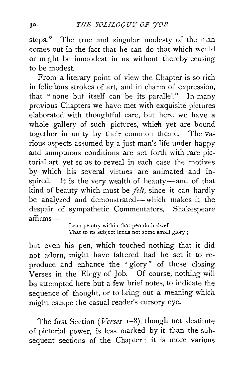steps." The true and singular modesty of the man comes out in the fact that he can do that which would or might be immodest in us without thereby ceasing to be modest.

From a literary point of view the Chapter is so rich in felicitous strokes of art, and in charm of expression, that "none but itself can be its parallel." In many previous Chapters we have met with exquisite pictures elaborated with thoughtful care, but here we have a whole .gallery of such pictures, which yet are bound together in unity by their common theme. The various aspects assumed by a just man's life under happy and sumptuous conditions are set forth with rare pictorial art, yet so as to reveal in each case the motives by which his several virtues are animated and inspired. It is the very wealth of beauty-and of that kind of beauty which must be *felt,* since it can hardly be analyzed and demonstrated-which makes it the despair of sympathetic Commentators. Shakespeare affirms-

Lean penury within that pen doth dwell That to its subject lends not some small glory;

but even his pen, which touched nothing that it did not adorn, might have faltered had he set it to reproduce and enhance the "glory" of these closing Verses in the Elegy of Job. Of course, nothing will be attempted here but a few brief notes, to indicate the sequence of thought, or to bring out a meaning which might escape the casual reader's cursory eye.

The first Section *(Verses* 1-8), though not destitute of pictorial power, is less marked by it than the subsequent sections of the Chapter : it is more various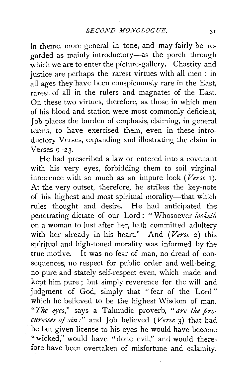in theme, more general in tone, and may fairly be regarded as mainly introductory-as the porch through which we are to enter the picture-gallery. Chastity and justice are perhaps the rarest virtues with all men : in all ages they have been conspicuously rare in the East, rarest of all in the rulers and magnates of the East. On these two virtues, therefore, as those in which men of his blood and station were most commonly deficient, Job places the burden of emphasis, claiming, in general terms, to have exercised them, even in these introductory Verses, expanding and illustrating the claim in Verses  $9-23$ .

He had prescribed a law or entered into a covenant with his very eyes, forbidding them to soil virginal innocence with so much as an impure look *(Verse* 1). At the very outset, therefore, he strikes the key-note of his highest and most spiritual morality-that which rules thought and desire. He had anticipated the penetrating dictate of our Lord : " Whosoever *looketh*  on a woman to lust after her, hath committed adultery with her already in his heart." And *(Verse* 2) this spiritual and high-toned morality was informed by the true motive. It was no fear of man, no dread of consequences, no respect for public order and well-being, no pure and stately self-respect even, which made and kept him pure ; but simply reverence for the will and judgment of God, simply that "fear of the Lord" which he believed to be the highest Wisdom of man. *"The eyes,"* says a Talmudic proverb, *"are the procuresses of sin:"* and Job believed *(Verse* 3) that had he but given license to his eyes he would have become "wicked," would have "done evil," and would therefore have been overtaken of misfortune and calamity.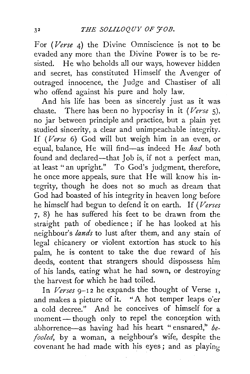For *(Verse* 4) the Divine Omniscience is not to be evaded any more than the Divine Power is to be re· sisted. He who beholds all our ways, however hidden and secret, has constituted Himself the Avenger of outraged innocence, the Judge and Chastiser of all who offend against his pure and holy law.

And his life has been as sincerely just as it was chaste. There has been no hypocrisy in it *(Verse* 5), no jar between principle and practice, but a plain yet studied sincerity, a clear and unimpeachable integrity. If *(Verse* 6) God will but weigh him in an even, or equal, balance, He will find-as indeed He *had* both found and declared-that Job is, if not a perfect man, at least "an upright." To God's judgment, therefore, he once more appeals, sure that He will know his in· tegrity, though he does not so much as dream that God had boasted of his integrity in heaven long before he himself had begun to defend it on earth. If *(Verses*  7, 8) he has suffered his feet to be drawn from the straight path of obedience ; if he has looked at his neighbour's *lands* to lust after them, and any stain of legal chicanery or violent extortion has stuck to his palm, he is content to take the due reward of his deeds, content that strangers should dispossess him of his lands, eating what he had sown, or destroying the harvest for which he had toiled.

In *Verses* 9-12 he expands the thought of Verse 1. and makes a picture of it. "A hot temper leaps o'er a cold decree." And he conceives of himself for a moment- though only to repel the conception with abhorrence—as having had his heart "ensnared," be*fooled,* by a woman, a neighbour's wife, despite the covenant he had made with his eyes ; and as playing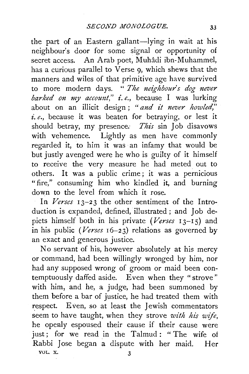the part of an Eastern gallant-lying in wait at his neighbour's door for some signal or opportunity of secret access. An Arab poet, Muhadi ibn-Muhammel, has a curious parallel to Verse 9, which shews that the manners and wiles of that primitive age have survived to more modern days. " *The neighbour's dog never barked on my account," i.e.*, because I was lurking about on an illicit design ; *"and it never howled," i.e.,* because it was beaten for betraying, or lest it should betray, my presence: *This* sin Job disavows with vehemence. Lightly as men have commonly regarded it, to him it was an infamy that would be but justly avenged were he who is guilty of it himself to receive the very measure he had meted out to others. It was a public crime; it was a pernicious "fire," consuming him who kindled it, and burning down to the level from which it rose.

In *Verses* 13-23 the other sentiment of the Introduction is expanded, defined, illustrated; and Job depicts himself both in his private (Verses 13-15) and in his public *(Verses*  $16-23$ ) relations as governed by an exact and generous justice.

No servant of his, however absolutely at his mercy or command, had been willingly wronged by him, nor had any supposed wrong of groom or maid been contemptuously daffed aside. Even when they "strove" with him, and he, a judge, had been summoned by them before a bar of justice, he had treated them with respect. Even, so at least the Jewish commentators seem to have taught, when they strove *with his wife,*  he openly espoused their cause if their cause were just; for we read in the Talmud: "The wife of Rabbi Jose began a dispute with her maid. Her VOL. X.  $\qquad \qquad \textbf{3}$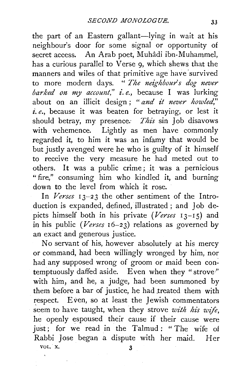the part of an Eastern gallant-lying in wait at his neighbour's door for some signal or opportunity of secret access. An Arab poet, Muhadi ibn-Muhammel, has a curious parallel to Verse  $\varphi$ , which shews that the manners and wiles of that primitive age have survived to more modern days. " *The neighbours dog never barked on my account," i.e.*, because I was lurking about on an illicit design; "and it never howled," *i. e.,* because it was beaten for betraying, or lest it should betray, my presence. *This* sin Job disavows with vehemence. Lightly as men have commonly regarded it, to him it was an infamy that would be but justly avenged were he who is guilty of it himself to receive the very measure he had meted out to others. It was a public crime; it was a pernicious "fire," consuming him who kindled it, and burning down to the level from which it rose.

In *Verses* 13-23 the other sentiment of the Introduction is expanded, defined, illustrated ; and Job depicts himself both in his private (Verses 13-15) and in his public *(Verses*  $16-23$ ) relations as governed by an exact and generous justice.

No servant of his, however absolutely at his mercy or command, had been willingly wronged by him, nor had any supposed wrong of groom or maid been contemptuously daffed aside. Even when they "strove'' with him, and he, a judge, had been summoned by them before a bar of justice, he had treated them with respect. Even, so at least the Jewish commentators seem to have taught, when they strove *with his wife,*  he openly espoused their cause if their cause were just; for we read in the Talmud: "The wife of Rabbi Jose began a dispute with her maid. Her VOL. X. 3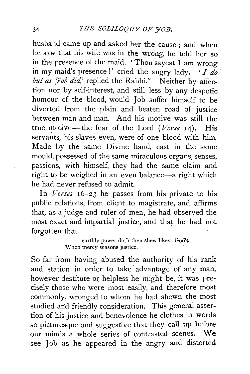husband came up and asked her the cause; and when he saw that his wife was in the wrong, he told her so in the presence of the maid. ' Thou sayest I am wrong in my maid's presence!' cried the angry lady. *'I do but as*  $7$ *ob did*,' replied the Rabbi." Neither by affection nor by self-interest, and still less by any despotic humour of the blood, would Job suffer himself to be diverted from the plain and beaten road of justice between man and man. And his motive was still the true motive-the fear of the Lord *(Verse* 14). His servants, his slaves even, were of one blood with him. Made by the same Divine hand, cast in the same mould, possessed of the same miraculous organs, senses, passions, with himself, they had the same claim and right to be weighed in an even balance-a right which he had never refused to admit.

In *Verses* 16-23 he passes from his private to his public relations, from client to magistrate, and affirms that, as a judge and ruler of men, he had observed the most exact and impartial justice, and that he had not forgotten that

> earthly power doth then shew likest God's When mercy seasons justice.

So far from having abused the authority of his rank and station in order to take advantage of any man, however destitute or helpless he might be, it was precisely those who were most easily, and therefore most commonly, wronged to whom he had shewn the most studied and friendly consideration. This general assertion of his justice and benevolence he clothes in words so picturesque and suggestive that they call up before our minds a whole series of contrasted scenes. We see Job as he appeared in the angry and distorted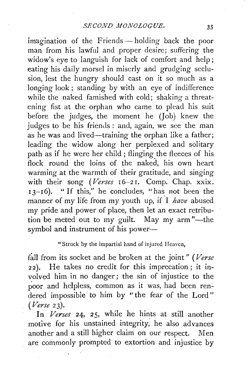imagination of the Friends-holding back the poor man from his lawful and proper desire; suffering the widow's eye to languish for lack of comfort and help; eating his daily morsel in miserly and grudging seclusion, lest the hungry should cast on it so much as a longing look; standing by with an eye of indifference while the naked famished with cold; shaking a threatening fist at the orphan who came to plead his suit before the judges, the moment he (Job) knew the judges to be his friends : and, again, we see the man as he was and lived—training the orphan like a father; leading the widow along her perplexed and solitary path as if he were her child ; flinging the fleeces of his flock round the loins of the naked, his own heart warming at the warmth of their gratitude, and singing with their song *(Verses* 16-21. Comp. Chap. xxix.  $I_3$ - $I_6$ ). " If this," he concludes, "has not been the manner of my life from my youth up, if I *have* abused my pride and power of place, then let an exact retribution be meted out to my guilt. May my arm"-the symbol and instrument of his power- $-$ 

#### "Struck by the impartial hand of injured Heaven,

fall from its socket and be broken at the joint" (Verse 22). He takes no credit for this imprecation; it involved him in no danger; the sin of injustice to the poor and helpless, common as it was, had been rendered impossible to him by "the fear of the Lord" *(Verse* 23).

**In** *Verses* 24, 25, while he hints at still another motive for his unstained integrity, he also advances another and a still higher claim on our respect. Men are commonly prompted to extortion and injustice by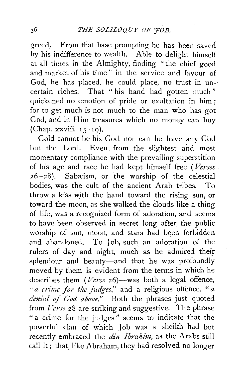greed. From that base prompting he has been saved by his indifference to wealth. Able to delight himself at all times in the Almighty, finding "the chief good and market of his time" in the service and favour of God, he has placed, he could place, no trust in un- · certain riches. That " his hand had gotten much " quickened no emotion of pride or exultation in him ; for to get much is not much to the man who has got God, and in Him treasures which no money can buy (Chap.  $xxviii. 15-19$ ).

Gold cannot be his God, nor can he have any God but the Lord. Even from the slightest and most momentary compliance with the prevailing superstition of his age and race he had kept himself free *(Verses* .  $26-28$ ). Sabæism, or the worship of the celestial bodies, was the cult of the ancient Arab tribes. To throw a kiss with the hand toward the rising sun, or toward the moon, as she walked the Clouds like a thing of life, was a recognized form of adoration, and seems to have been observed in secret long after the public worship of sun, moon, and stars had been forbidden and abandoned. To Job, such an adoration of the rulers of day and night, much as he admired their splendour and beauty-and that he was profoundly moved by them is evident from the terms in which he describes them *(Verse 26)*-was both a legal offence, *"a crime for the judg·es,"* and a religious offence, *"a denial of God above."* Both the phrases just quoted from *Verse* 28 are striking and suggestive. The phrase "a crime for the judges" seems to indicate that the powerful clan of which Job was a sheikh had but recently embraced the *din Ibrahim,* as the Arabs still call it; that, like Abraham, they had resolved no longer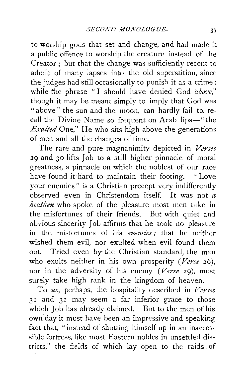to worship gods that set and change, and had made it a public offence to worship the creature instead of the Creator; but that the change was sufficiently recent to admit of many lapses into the old superstition, since the judges had still occasionally to punish it as a crime: while the phrase "I should have denied God *above*," though it may be meant simply to imply that God was "above" the sun and the moon, can hardly fail to recall the Divine Name so frequent on Arab lips-" the *Exalted* One," He who sits high above the generations of men and all the changes of time.

The rare and pure magnanimity depicted in *Verses*  29 and 30 lifts Job to a still higher pinnacle of moral greatness, a pinnacle on which the noblest of our race have found it hard to maintain their footing. "Love your enemies" is a Christian precept very indifferently observed even in Christendom itself. It was not *a heathen* who spoke of the pleasure most men take in the misfortunes of their friends. But with quiet and obvious sincerity Job affirms that he took no pleasure in the misfortunes of his *enemies*: that he neither wished them evil, nor exulted when evil found them out. Tried even by the Christian standard, the man who exults neither in his own prosperity *(Verse* 26), nor in the adversity of his enemy *(Verse* 29), must surely take high rank in the kingdom of heaven.

To *us,* perhaps, the hospitality described in *Verses*  31 and 32 may seem a far inferior grace to those which Job has already claimed. But to the men of his own day it must have been an impressive and speaking fact that, "instead of shutting himself up in an inaccessible fortress, like most Eastern nobles in unsettled districts," the fields of which lay open to the raids . of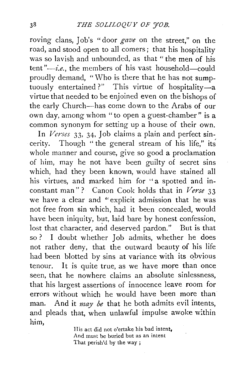roving clans, Job's "door *gave* on the street," on the road, and stood open to all comers; that his hospitality was so lavish and unbounded, as that "the men of his tent " $-i.e.,$  the members of his vast household-could proudly demand, "Who is there that he has not sumptuously entertained ?" This virtue of hospitality-a virtue that needed to be enjoined even on the bishops of the early Church-has come down to the Arabs of our own day, among whom "to open a guest-chamber" is a common synonym for setting up a house of their own.

In *Verses* 33, 34, Job claims a plain and perfect sincerity. Though " the general stream of his life," its whole manner and course, give so good a proclamation of him, may he not have been guilty of secret sins which, had they been known, would have stained all his virtues, and marked him for "a spotted and inconstant man" ? Canon Cook holds that in *Verse* 33 we have a clear and "explicit admission that he was not free from sin which, had it been concealed, would have been iniquity, but, laid bare by honest confession, lost that character, and deserved pardon." But is that so ? I doubt whether Job admits, whether he does not rather deny, that the outward beauty of his life had been blotted by sins at variance with its obvious tenour. It is quite true, as we have more than once seen, that he nowhere claims an absolute sinlessness, that his largest assertions of innocence leave room for errors without which he would have been more than man. And it *may be* that he both admits evil intents, and pleads that, when unlawful impulse awoke within him,

> His act did not o'ertake his bad intent, And must be buried but as an intent That perish'd by the way ;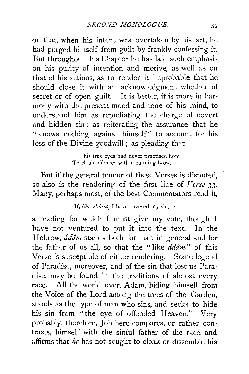or that, when his intent was overtaken by his act, he had purged himself from guilt by frankly confessing it. But throughout this Chapter he has laid such emphasis on his purity of intention and motive, as well as on that of his actions, as to render it improbable that he should close it with an acknowledgment whether of secret or of open guilt. It is better, it is more in harmony with the present mood and tone of his mind, to understand him as repudiating the charge of covert and hidden sin ; as reiterating the assurance that he '' knows nothing against himself" to account for his loss of the Divine goodwill; as pleading that

> his true eyes had never practised how To cloak offences with a cunning brow.

But if the general tenour of these Verses is disputed, so also is the rendering of the first line of *Verse* 33· Many, perhaps most, of the best Commentators read it,

### If, like Adam, I have covered my sin,-

a reading for which I must give my vote, though I have not ventured to put it into the text. In the Hebrew, *addm* stands both for man in general and for the father of us all, so that the " like *adam"* of this Verse is susceptible of either rendering. Some legend of Paradise, moreover, and of the sin that lost us Paradise, may be found in the traditions of almost every race. All the world over, Adam, hiding himself from the Voice of the Lord among the trees of the Garden, stands as the type of man who sins, and seeks to hide his sin from "the eye of offended Heaven." Very probably, therefore, Job here compares, or ·rather contrasts, himself with the sinful father of the race, and affirms that *he* has not sought to cloak or dissemble his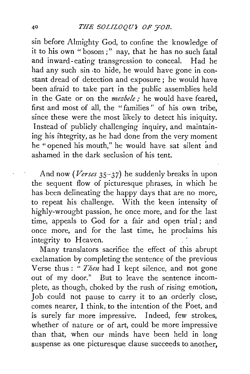sin before Almighty God, to confine the knowledge of it to his own "bosom;" nay, that he has no such fatal and inward-eating transgression to conceal. Had he had any such sin -to hide, he would have gone in constant dread of detection and exposure ; he would have been afraid to take part in the public assemblies held in the Gate or on the *mezbele* : he would have feared, first and most of all, the "families " of his own tribe, since these were the most likely to detect his iniquity. Instead of publicly challenging inquiry, and maintaining his ihtegrity, as he had done from the very moment he "opened his mouth," he would have sat silent and ashamed in the dark seclusion of his tent.

And now *(Verses* 35-37) he suddenly breaks in upon the sequent flow of picturesque phrases, in which he has been delineating the happy days that are no more, to repeat his challenge. With the keen intensity of highly-wrought passion, he once more, and for the last time, appeals to God for a fair and open trial ; and once more, and for the last time, he proclaims his integrity to Heaven.

Many translators sacrifice the effect of this abrupt exclamation by completing the sentence of the previous Verse thus : " *Then* had I kept silence, and not gone out of my door." But to leave the sentence incomplete, as though, choked by the rush of rising emotion, Job could not pause to carry it to an orderly close, comes nearer, I think, to the intention of the Poet, and is surely far more impressive. Indeed, few strokes, whether of nature or of art, could be more impressive than that, when our minds have been held in long suspense as one picturesque clause succeeds to another,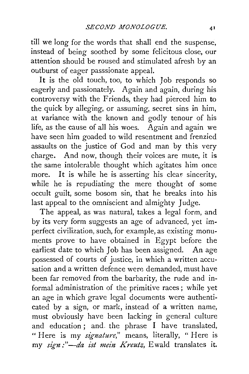till we long for the words that shall end the suspense, instead of being soothed by some felicitous close, our attention should be roused and stimulated afresh by an outburst of eager passsionate appeal.

It is the old touch, too, to which Job responds so eagerly and passionately. Again and again, during his controversy with the Friends, they had pierced him to the quick by alleging, or assuming, secret sins in him, at variance with the known and godly tenour of his life, as the cause of all his woes. Again and again we have seen him goaded to wild resentment and frenzied assaults on the justice of God and man by this very charge. And now, though their voices are mute, it is the same intolerable thought which agitates him once more. It is while he is asserting his clear sincerity, while he is repudiating the mere thought of some occult guilt, some bosom sin, that he breaks into his last appeal to the omniscient and almighty Judge.

The appeal, as was natural, takes a legal form, and by its very form suggests an age of advanced, yet imperfect civilization, such, for example, as existing monuments prove to have obtained in Egypt before the earliest date to which Job has been assigned. An age possessed of courts of justice, in which a written accusation and a written defence were demanded, must have been far removed from the barbarity, the rude and informal administration of the primitive races; while yet an age in which grave legal documents were authenticated by a sign, or mark, instead of a written name, must obviously have been lacking in general culture and education ; and. the phrase I have translated, "Here is my *signature,"* means, literally, " Here is my *sign* :"-*da ist mein Kreutz*, Ewald translates it.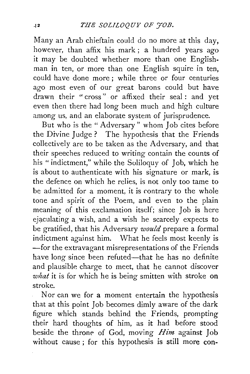Many an Arab chieftain could do no more at this day, however, than affix his mark; a hundred years ago it may be doubted whether more than one Englishman in ten, or more than one English squire in ten, could have done more ; while three or four centuries ago most even of our great barons could but have drawn their "cross" or affixed their seal: and yet even then there had long been much and high culture among us, and an elaborate system of jurisprudence.

But who is the " Adversary" whom Job cites before the Divine Judge ? The hypothesis that the Friends collectively are to be taken as the Adversary, and that their speeches reduced to writing contain the counts of his "indictment," while the Soliloquy of Job, which he is about to authenticate with his signature or mark, is the defence on which he relies, is not only too tame to be admitted for a moment, it is contrary to the whole tone and spirit of the Poem, and even to the plain meaning of this exclamation itself; since Job is here ejaculating a wish, and a wish he scarcely expects to be gratified, that his Adversary *would* prepare a formal indictment against him. What he feels most keenly is -for the extravagant misrepresentations of the Friends have long since been refuted—that he has no definite and plausible charge to meet, that he cannot discover *what* it is for which he is being smitten with stroke on stroke.

Nor can we for a moment entertain the hypothesis that at this point Job becomes dimly aware of the dark figure which stands behind the Friends, prompting their hard thoughts of him, as it had before stood beside the throne of God, moving *Him* against Job without cause ; for this hypothesis is still more con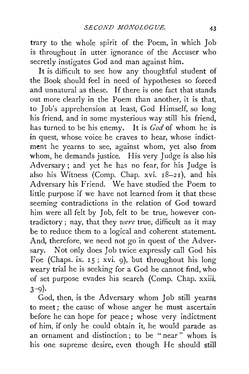trary to the whole spirit of the Poem, in which Job is throughout in utter ignorance of the Accuser who secretly instigates God and man against him.

It is difficult to see how any thoughtful student of the Book should feel in need of hypotheses so forced and unnatural as these. If there is one fact that stands out more clearly in the Poem than another, it is that, to Job's apprehension at least, God Himself, so long his friend, and in some mysterious way still his friend, has turned to be his enemy. It is *God* of whom he is in quest, whose voice he craves to hear, whose indictment he yearns to see, against whom, yet also from whom, he demands justice. His very Judge is also his Adversary ; and yet he has no fear, for his Judge is also his Witness (Comp. Chap. xvi.  $18-21$ ), and his Adversary his Friend. We have studied the Poem to little purpose if we have not learned from it that these seeming contradictions in the relation of God toward him were all felt by Job, felt to be true, however contradictory ; nay, that they *were* true, difficult as it may be to reduce them to a logical and coherent statement. And, therefore, we need not go in quest of the Adversary. Not only does Job twice expressly call God his. Foe (Chaps. ix. 15; xvi. 9), but throughout his long weary trial he is seeking for a God he cannot find, who of set purpose evades his search (Comp. Chap. xxiii.  $3-9$ ).

God, then, is the Adversary whom Job still yearns to meet ; the cause of whose anger he must ascertain before he can hope for peace ; whose very indictment of him, if only he could obtain it, he would parade as an ornament and distinction ; to be " near " whom is his one supreme desire, even though He should still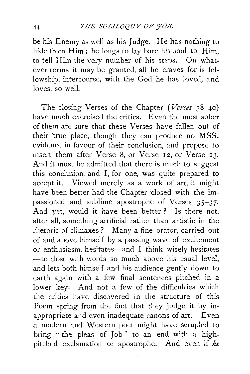be his Enemy as well as his Judge. He has nothing to hide from Him; he longs to lay bare his soul to Him, to tell Him the very number of his steps. On whatever terms it may be granted, all he craves for is fellowship, intercourse, with the God he has loved, and loves, so well.

The closing Verses of the Chapter *(Verses* 38-40) have much exercised the critics. Even the most sober of them are sure that these Verses have fallen out of their 'true place, though they can produce no MSS. evidence in favour of their conclusion, and propose to insert them after Verse 8, or Verse 12, or Verse 23. And it must be admitted that there is much to suggest this conclusion, and I, for one, was quite prepared to accept it. Viewed merely as a work of art, it might have been better had the Chapter closed with the impassioned and sublime apostrophe of Verses 35-37. And yet, would it have been better ? Is there not, after all, something artificial rather than artistic in the rhetoric of climaxes ? Many a fine orator, carried out of and above himself by a passing wave of excitement or enthusiasm, hesitates-and I think wisely hesitates -- to close with words so much above his usual level, and lets both himself and his audience gently down to earth again with a few final sentences pitched in a lower key. And not a few of the difficulties which the critics have discovered in the structure of this Poem spring from the fact that they judge it by inappropriate and even inadequate canons of art. Even a modern and Western poet might have scrupled to bring "the pleas of Job" to an end with a highpitched exclamation or apostrophe. And even if *he*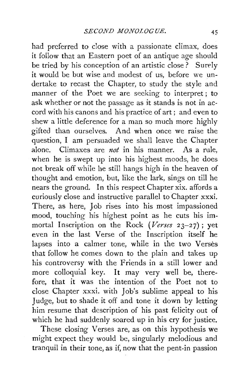had preferred to close with a passionate climax, does it follow that an Eastern poet of an antique age should be tried by his conception of an artistic close? Surely it would be but wise and modest of us, before we undertake to recast the Chapter, to study the style and manner of the Poet we are seeking to interpret; to ask whether or not the passage as it stands is not in accord with his canons and his practice of art; and even to shew a little deference for a man so much more highly gifted than ourselves. And when once we raise the question, I am persuaded we shall leave the Chapter alone. Climaxes are *not* in his manner. As a rule, when he is swept up into his highest moods, he does not break off while he still hangs high in the heaven of thought and emotion, but, like the lark, sings on till he nears the ground. In this respect Chapter xix. affords a curiously close and instructive parallel to Chapter xxxi. There, as here, Job rises into his most impassioned mood, touching his highest point as he cuts his immortal Inscription on the Rock (Verses 23-27); yet even in the last Verse of the Inscription itself he lapses into a calmer tone, while in the two Verses that follow he comes down to the plain and takes up his controversy with the Friends in a still lower and more colloquial key. It may very well be, therefore, that it was the intention of the Poet not to close Chapter xxxi. with Job's sublime appeal to his Judge, but to shade it off and tone it down by letting him resume that description of his past felicity out of which he had suddenly soared up in his cry for justice.

These closing Verses are, as on this hypothesis we might expect they would be, singularly melodious and tranquil in their tone, as if, now that the pent-in passion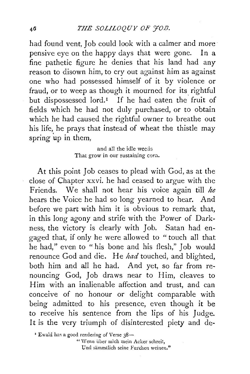had found vent, Job could look with a calmer and more pensive eye on the happy days that were gone. In a fine pathetic figure he denies that his land had any reason to disown him, *to* cry out against him as against one who had possessed himself of it by violence or fraud, or to weep as though it mourned for its rightful but dispossessed lord.<sup>1</sup> If he had eaten the fruit of fields which he had not duly purchased, or to obtain which he had caused the rightful owner to breathe out his life, he prays that instead of wheat the thistle may spring  $up$  in them,

> and all the idle weds That grow in our sustaining corn.

At this point Job ceases to plead with God, as at the close of Chapter xxvi. he had ceased to argue with the Friends. We shall not hear his voice again till *he*  hears the Voice he had so long yearned to hear. And before we part with him it is obvious to remark that, in this long agony and strife with the Power of Darkness, the victory is clearly with Job. Satan had engaged that, if only he were allowed to "touch all that he had," even to " his bone and his flesh," Job would renounce God and die. He *had* touched, and blighted, both him and all he had. And yet, so far from renouncing God, Job draws near to Him, cleaves to Him with an inalienable affection and trust, and can conceive of no honour or delight comparable with being admitted to his presence, even though it be to receive his sentence from the lips of his Judge. It is the very triumph of disinterested piety and de-

<sup>z</sup> Ewald has a good rendering of Verse 38-

" Wenn über mich mein Acker schreit. Und sammtlich seine Furchen weinen."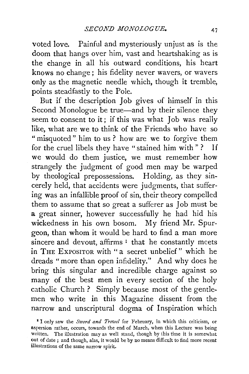voted love. Painful and mysteriously unjust as is the doom that hangs over him, vast and heartshaking as is the change in all his outward conditions, his heart knows no change; his fidelity never wavers, or wavers only as the magnetic needle which, though it tremble, points steadfastly to the Pole.

But if the description Job gives uf himself in this Second Monologue be true—and by their silence they seem to consent to it; if this was what Job was really like, what are we to think of the Friends who have so "misquoted" him to us? how are we to forgive them for the cruel libels they have "stained him with" ? If we would do them justice, we must remember how strangely the judgment of good men may be warped by theological prepossessions. Holding, as they sincerely held, that accidents were judgments, that suffering was an infallible proof of sin, their theory compelled them to assume that so great a sufferer as Job must be a great sinner, however successfully he had hid his wickedness in his own bosom. My friend Mr. Spurgeon, than whom it would be hard to find a man more sincere and devout, affirms  $I$  that he constantly meets in THE ExPOSITOR with " a secret unbelief" which he dreads "more than open infidelity." And why does he bring this singular and incredible charge against so many of the best men in every section of the holy catholic Church ? Simply because most of the gentlemen who write in this Magazine dissent from the narrow and unscriptural dogma of Inspiration which

<sup>1</sup>I only saw the *Sword and Trowel* for February, in which this criticism, or aspersion rather, occurs, towards the end of March, when this Lecture was being written. The illustration may as well stand, though by this time it is somewhat out of date ; and though, alas, it would be by no means difficult to find more recent illustrations of the same narrow spirit.